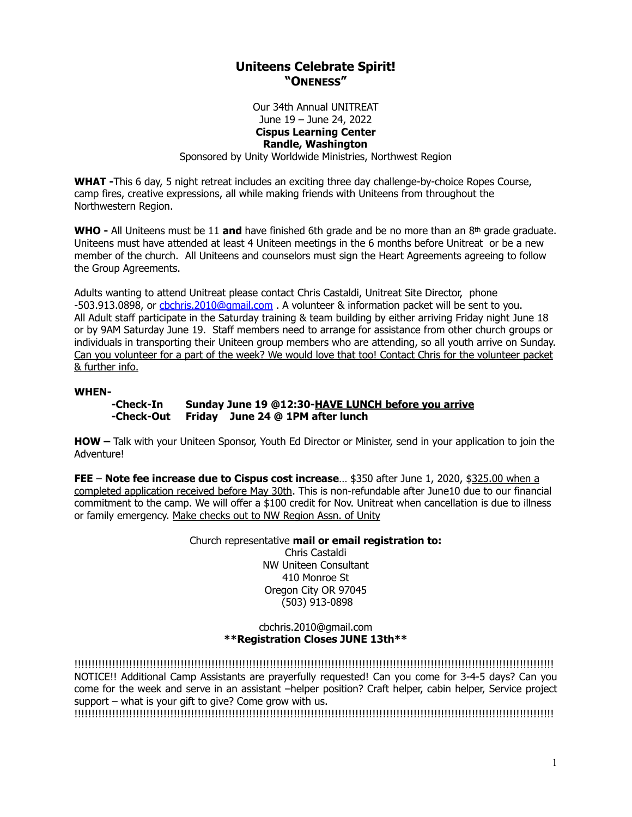# **Uniteens Celebrate Spirit! "ONENESS"**

Our 34th Annual UNITREAT June 19 – June 24, 2022 **Cispus Learning Center Randle, Washington** Sponsored by Unity Worldwide Ministries, Northwest Region

**WHAT -**This 6 day, 5 night retreat includes an exciting three day challenge-by-choice Ropes Course, camp fires, creative expressions, all while making friends with Uniteens from throughout the Northwestern Region.

**WHO -** All Uniteens must be 11 **and** have finished 6th grade and be no more than an 8th grade graduate. Uniteens must have attended at least 4 Uniteen meetings in the 6 months before Unitreat or be a new member of the church. All Uniteens and counselors must sign the Heart Agreements agreeing to follow the Group Agreements.

Adults wanting to attend Unitreat please contact Chris Castaldi, Unitreat Site Director, phone -503.913.0898, or [cbchris.2010@gmail.com](mailto:cbchris.2010@gmail.com) . A volunteer & information packet will be sent to you. All Adult staff participate in the Saturday training & team building by either arriving Friday night June 18 or by 9AM Saturday June 19. Staff members need to arrange for assistance from other church groups or individuals in transporting their Uniteen group members who are attending, so all youth arrive on Sunday. Can you volunteer for a part of the week? We would love that too! Contact Chris for the volunteer packet & further info.

#### **WHEN-**

**-Check-In Sunday June 19 @12:30-HAVE LUNCH before you arrive -Check-Out Friday June 24 @ 1PM after lunch**

**HOW –** Talk with your Uniteen Sponsor, Youth Ed Director or Minister, send in your application to join the Adventure!

**FEE** – **Note fee increase due to Cispus cost increase**... \$350 after June 1, 2020, \$325.00 when a completed application received before May 30th. This is non-refundable after June10 due to our financial commitment to the camp. We will offer a \$100 credit for Nov. Unitreat when cancellation is due to illness or family emergency. Make checks out to NW Region Assn. of Unity

> Church representative **mail or email registration to:** Chris Castaldi NW Uniteen Consultant 410 Monroe St Oregon City OR 97045 (503) 913-0898

#### cbchris.2010@gmail.com **\*\*Registration Closes JUNE 13th\*\***

!!!!!!!!!!!!!!!!!!!!!!!!!!!!!!!!!!!!!!!!!!!!!!!!!!!!!!!!!!!!!!!!!!!!!!!!!!!!!!!!!!!!!!!!!!!!!!!!!!!!!!!!!!!!!!!!!!!!!!!!!!!!!!!!!!!!!!!!!!!! NOTICE!! Additional Camp Assistants are prayerfully requested! Can you come for 3-4-5 days? Can you come for the week and serve in an assistant –helper position? Craft helper, cabin helper, Service project support – what is your gift to give? Come grow with us.

!!!!!!!!!!!!!!!!!!!!!!!!!!!!!!!!!!!!!!!!!!!!!!!!!!!!!!!!!!!!!!!!!!!!!!!!!!!!!!!!!!!!!!!!!!!!!!!!!!!!!!!!!!!!!!!!!!!!!!!!!!!!!!!!!!!!!!!!!!!!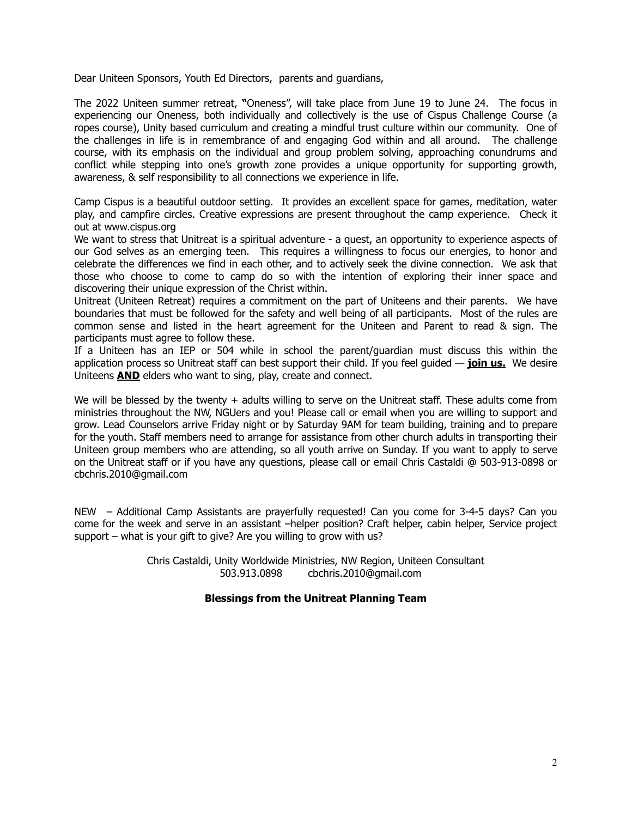Dear Uniteen Sponsors, Youth Ed Directors, parents and guardians,

The 2022 Uniteen summer retreat, **"**Oneness", will take place from June 19 to June 24. The focus in experiencing our Oneness, both individually and collectively is the use of Cispus Challenge Course (a ropes course), Unity based curriculum and creating a mindful trust culture within our community. One of the challenges in life is in remembrance of and engaging God within and all around. The challenge course, with its emphasis on the individual and group problem solving, approaching conundrums and conflict while stepping into one's growth zone provides a unique opportunity for supporting growth, awareness, & self responsibility to all connections we experience in life.

Camp Cispus is a beautiful outdoor setting. It provides an excellent space for games, meditation, water play, and campfire circles. Creative expressions are present throughout the camp experience. Check it out at www.cispus.org

We want to stress that Unitreat is a spiritual adventure - a quest, an opportunity to experience aspects of our God selves as an emerging teen. This requires a willingness to focus our energies, to honor and celebrate the differences we find in each other, and to actively seek the divine connection. We ask that those who choose to come to camp do so with the intention of exploring their inner space and discovering their unique expression of the Christ within.

Unitreat (Uniteen Retreat) requires a commitment on the part of Uniteens and their parents. We have boundaries that must be followed for the safety and well being of all participants. Most of the rules are common sense and listed in the heart agreement for the Uniteen and Parent to read & sign. The participants must agree to follow these.

If a Uniteen has an IEP or 504 while in school the parent/guardian must discuss this within the application process so Unitreat staff can best support their child. If you feel guided — **join us.** We desire Uniteens **AND** elders who want to sing, play, create and connect.

We will be blessed by the twenty + adults willing to serve on the Unitreat staff. These adults come from ministries throughout the NW, NGUers and you! Please call or email when you are willing to support and grow. Lead Counselors arrive Friday night or by Saturday 9AM for team building, training and to prepare for the youth. Staff members need to arrange for assistance from other church adults in transporting their Uniteen group members who are attending, so all youth arrive on Sunday. If you want to apply to serve on the Unitreat staff or if you have any questions, please call or email Chris Castaldi @ 503-913-0898 or cbchris.2010@gmail.com

NEW – Additional Camp Assistants are prayerfully requested! Can you come for 3-4-5 days? Can you come for the week and serve in an assistant –helper position? Craft helper, cabin helper, Service project support – what is your gift to give? Are you willing to grow with us?

> Chris Castaldi, Unity Worldwide Ministries, NW Region, Uniteen Consultant 503.913.0898 cbchris.2010@gmail.com

# **Blessings from the Unitreat Planning Team**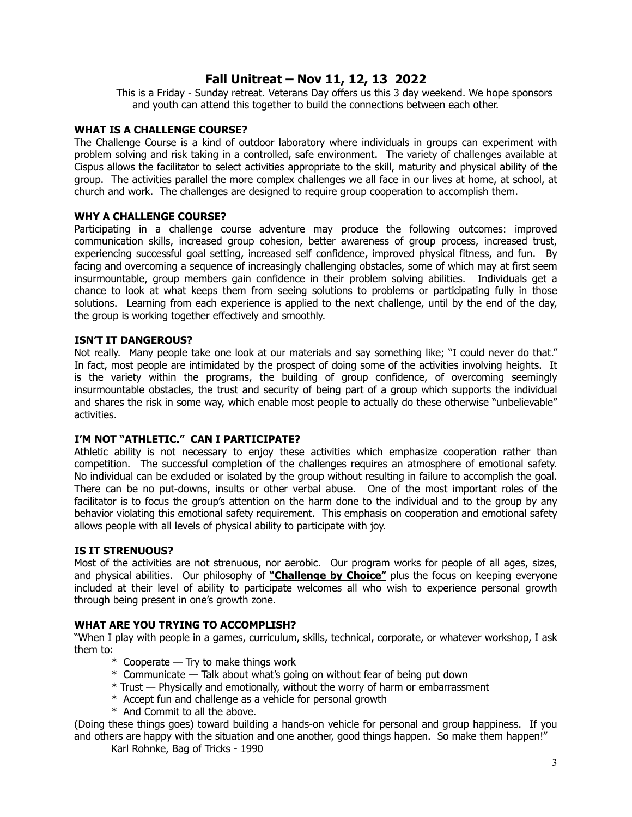# **Fall Unitreat – Nov 11, 12, 13 2022**

This is a Friday - Sunday retreat. Veterans Day offers us this 3 day weekend. We hope sponsors and youth can attend this together to build the connections between each other.

### **WHAT IS A CHALLENGE COURSE?**

The Challenge Course is a kind of outdoor laboratory where individuals in groups can experiment with problem solving and risk taking in a controlled, safe environment. The variety of challenges available at Cispus allows the facilitator to select activities appropriate to the skill, maturity and physical ability of the group. The activities parallel the more complex challenges we all face in our lives at home, at school, at church and work. The challenges are designed to require group cooperation to accomplish them.

#### **WHY A CHALLENGE COURSE?**

Participating in a challenge course adventure may produce the following outcomes: improved communication skills, increased group cohesion, better awareness of group process, increased trust, experiencing successful goal setting, increased self confidence, improved physical fitness, and fun. By facing and overcoming a sequence of increasingly challenging obstacles, some of which may at first seem insurmountable, group members gain confidence in their problem solving abilities. Individuals get a chance to look at what keeps them from seeing solutions to problems or participating fully in those solutions. Learning from each experience is applied to the next challenge, until by the end of the day, the group is working together effectively and smoothly.

#### **ISN'T IT DANGEROUS?**

Not really. Many people take one look at our materials and say something like; "I could never do that." In fact, most people are intimidated by the prospect of doing some of the activities involving heights. It is the variety within the programs, the building of group confidence, of overcoming seemingly insurmountable obstacles, the trust and security of being part of a group which supports the individual and shares the risk in some way, which enable most people to actually do these otherwise "unbelievable" activities.

# **I'M NOT "ATHLETIC." CAN I PARTICIPATE?**

Athletic ability is not necessary to enjoy these activities which emphasize cooperation rather than competition. The successful completion of the challenges requires an atmosphere of emotional safety. No individual can be excluded or isolated by the group without resulting in failure to accomplish the goal. There can be no put-downs, insults or other verbal abuse. One of the most important roles of the facilitator is to focus the group's attention on the harm done to the individual and to the group by any behavior violating this emotional safety requirement. This emphasis on cooperation and emotional safety allows people with all levels of physical ability to participate with joy.

#### **IS IT STRENUOUS?**

Most of the activities are not strenuous, nor aerobic. Our program works for people of all ages, sizes, and physical abilities. Our philosophy of **"Challenge by Choice"** plus the focus on keeping everyone included at their level of ability to participate welcomes all who wish to experience personal growth through being present in one's growth zone.

#### **WHAT ARE YOU TRYING TO ACCOMPLISH?**

"When I play with people in a games, curriculum, skills, technical, corporate, or whatever workshop, I ask them to:

- \* Cooperate Try to make things work
- \* Communicate Talk about what's going on without fear of being put down
- \* Trust Physically and emotionally, without the worry of harm or embarrassment
- \* Accept fun and challenge as a vehicle for personal growth
- \* And Commit to all the above.

(Doing these things goes) toward building a hands-on vehicle for personal and group happiness. If you and others are happy with the situation and one another, good things happen. So make them happen!"

Karl Rohnke, Bag of Tricks - 1990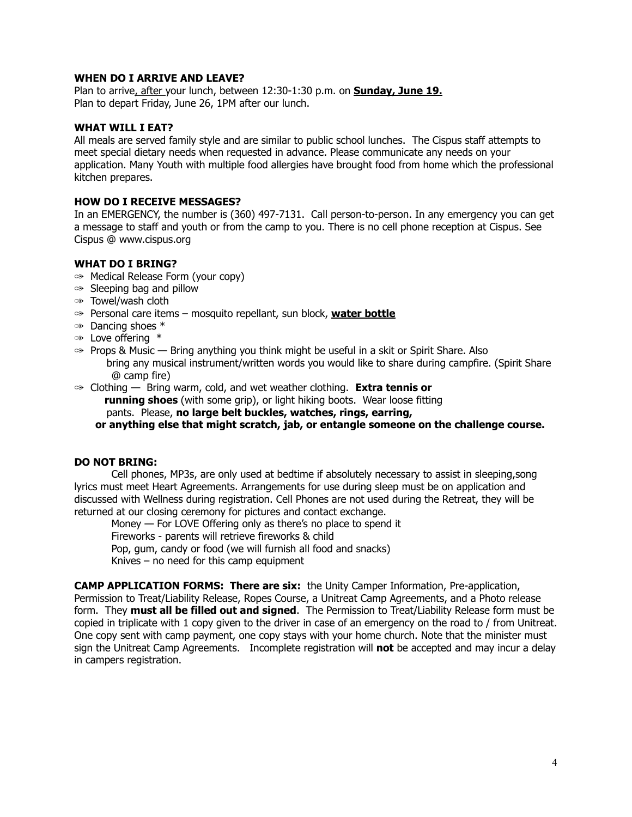#### **WHEN DO I ARRIVE AND LEAVE?**

Plan to arrive, after your lunch, between 12:30-1:30 p.m. on **Sunday, June 19.** Plan to depart Friday, June 26, 1PM after our lunch.

### **WHAT WILL I EAT?**

All meals are served family style and are similar to public school lunches. The Cispus staff attempts to meet special dietary needs when requested in advance. Please communicate any needs on your application. Many Youth with multiple food allergies have brought food from home which the professional kitchen prepares.

#### **HOW DO I RECEIVE MESSAGES?**

In an EMERGENCY, the number is (360) 497-7131. Call person-to-person. In any emergency you can get a message to staff and youth or from the camp to you. There is no cell phone reception at Cispus. See Cispus @ www.cispus.org

# **WHAT DO I BRING?**

- ✑ Medical Release Form (your copy)
- $\Leftrightarrow$  Sleeping bag and pillow
- ✑ Towel/wash cloth
- ✑ Personal care items mosquito repellant, sun block, **water bottle**
- $\infty$  Dancing shoes  $*$
- ✑ Love offering \*
- $\gg$  Props & Music Bring anything you think might be useful in a skit or Spirit Share. Also bring any musical instrument/written words you would like to share during campfire. (Spirit Share @ camp fire)
- ✑ Clothing Bring warm, cold, and wet weather clothing. **Extra tennis or running shoes** (with some grip), or light hiking boots. Wear loose fitting

pants. Please, **no large belt buckles, watches, rings, earring,**

 **or anything else that might scratch, jab, or entangle someone on the challenge course.**

# **DO NOT BRING:**

Cell phones, MP3s, are only used at bedtime if absolutely necessary to assist in sleeping,song lyrics must meet Heart Agreements. Arrangements for use during sleep must be on application and discussed with Wellness during registration. Cell Phones are not used during the Retreat, they will be returned at our closing ceremony for pictures and contact exchange.

Money — For LOVE Offering only as there's no place to spend it Fireworks - parents will retrieve fireworks & child Pop, gum, candy or food (we will furnish all food and snacks) Knives – no need for this camp equipment

**CAMP APPLICATION FORMS: There are six:** the Unity Camper Information, Pre-application, Permission to Treat/Liability Release, Ropes Course, a Unitreat Camp Agreements, and a Photo release form. They **must all be filled out and signed**. The Permission to Treat/Liability Release form must be copied in triplicate with 1 copy given to the driver in case of an emergency on the road to / from Unitreat. One copy sent with camp payment, one copy stays with your home church. Note that the minister must sign the Unitreat Camp Agreements. Incomplete registration will **not** be accepted and may incur a delay in campers registration.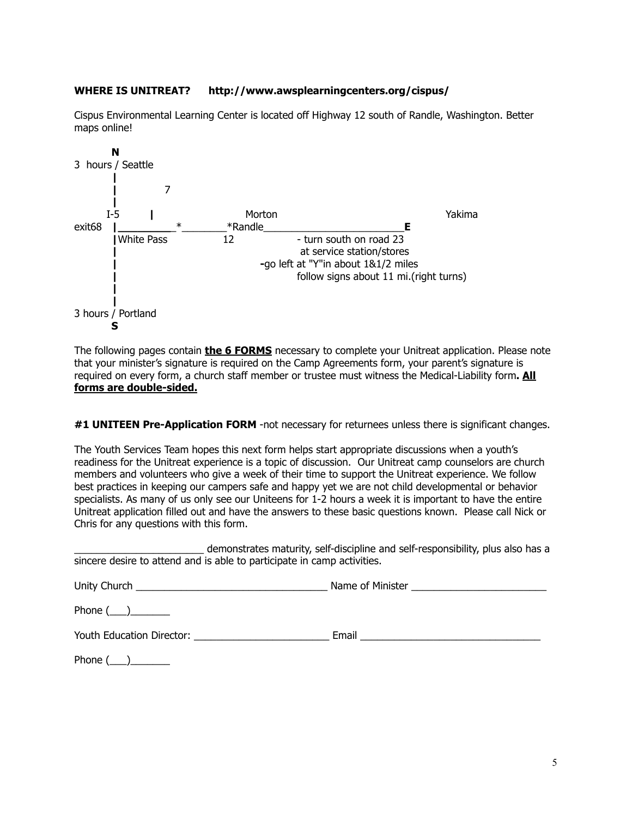# **WHERE IS UNITREAT? http://www.awsplearningcenters.org/cispus/**

Cispus Environmental Learning Center is located off Highway 12 south of Randle, Washington. Better maps online!



The following pages contain **the 6 FORMS** necessary to complete your Unitreat application. Please note that your minister's signature is required on the Camp Agreements form, your parent's signature is required on every form, a church staff member or trustee must witness the Medical-Liability form**. All forms are double-sided.**

# **#1 UNITEEN Pre-Application FORM** -not necessary for returnees unless there is significant changes.

The Youth Services Team hopes this next form helps start appropriate discussions when a youth's readiness for the Unitreat experience is a topic of discussion. Our Unitreat camp counselors are church members and volunteers who give a week of their time to support the Unitreat experience. We follow best practices in keeping our campers safe and happy yet we are not child developmental or behavior specialists. As many of us only see our Uniteens for 1-2 hours a week it is important to have the entire Unitreat application filled out and have the answers to these basic questions known. Please call Nick or Chris for any questions with this form.

demonstrates maturity, self-discipline and self-responsibility, plus also has a sincere desire to attend and is able to participate in camp activities.

| Phone $(\_)$ |  |
|--------------|--|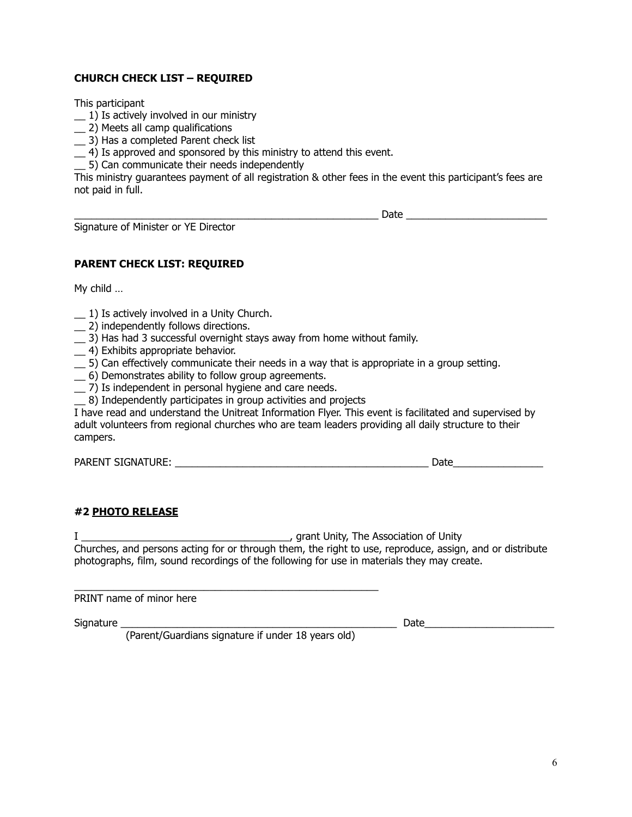# **CHURCH CHECK LIST – REQUIRED**

This participant

- $\_$ 1) Is actively involved in our ministry
- \_\_ 2) Meets all camp qualifications
- \_\_ 3) Has a completed Parent check list
- \_\_ 4) Is approved and sponsored by this ministry to attend this event.
- \_\_ 5) Can communicate their needs independently

This ministry guarantees payment of all registration & other fees in the event this participant's fees are not paid in full.

 $\Box$  Date  $\Box$  Date  $\Box$  Date  $\Box$ 

Signature of Minister or YE Director

**PARENT CHECK LIST: REQUIRED**

My child …

- $\pm$  1) Is actively involved in a Unity Church.
- \_\_ 2) independently follows directions.
- \_\_ 3) Has had 3 successful overnight stays away from home without family.
- \_\_ 4) Exhibits appropriate behavior.
- \_\_ 5) Can effectively communicate their needs in a way that is appropriate in a group setting.
- \_\_ 6) Demonstrates ability to follow group agreements.
- \_\_ 7) Is independent in personal hygiene and care needs.
- \_\_ 8) Independently participates in group activities and projects

I have read and understand the Unitreat Information Flyer. This event is facilitated and supervised by adult volunteers from regional churches who are team leaders providing all daily structure to their campers.

PARENT SIGNATURE: THE SUBSECTED SIGNATURE:

# **#2 PHOTO RELEASE**

I \_\_\_\_\_\_\_\_\_\_\_\_\_\_\_\_\_\_\_\_\_\_\_\_\_\_\_\_\_\_\_\_\_\_\_\_\_, grant Unity, The Association of Unity Churches, and persons acting for or through them, the right to use, reproduce, assign, and or distribute photographs, film, sound recordings of the following for use in materials they may create.

PRINT name of minor here

Signature \_\_\_\_\_\_\_\_\_\_\_\_\_\_\_\_\_\_\_\_\_\_\_\_\_\_\_\_\_\_\_\_\_\_\_\_\_\_\_\_\_\_\_\_\_\_\_\_\_ Date\_\_\_\_\_\_\_\_\_\_\_\_\_\_\_\_\_\_\_\_\_\_\_

(Parent/Guardians signature if under 18 years old)

\_\_\_\_\_\_\_\_\_\_\_\_\_\_\_\_\_\_\_\_\_\_\_\_\_\_\_\_\_\_\_\_\_\_\_\_\_\_\_\_\_\_\_\_\_\_\_\_\_\_\_\_\_\_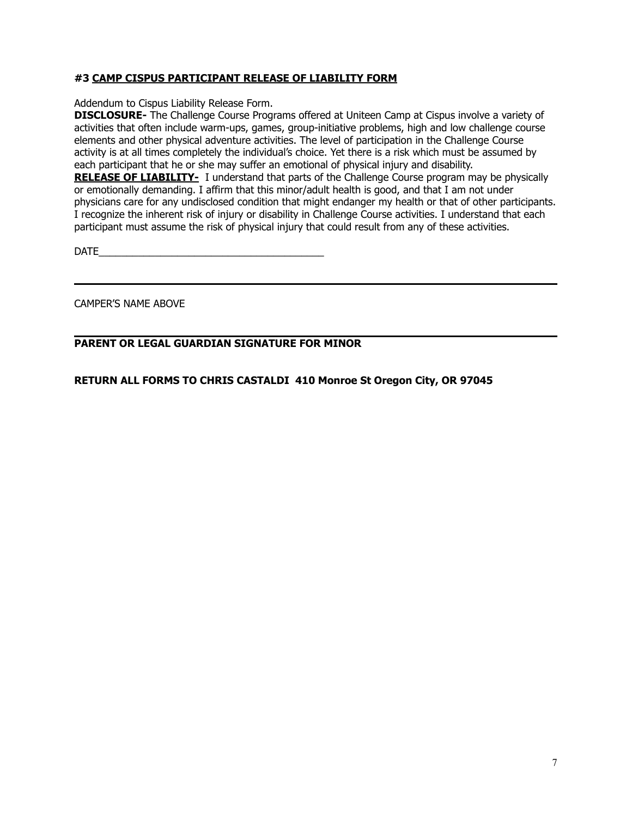# **#3 CAMP CISPUS PARTICIPANT RELEASE OF LIABILITY FORM**

Addendum to Cispus Liability Release Form.

**DISCLOSURE-** The Challenge Course Programs offered at Uniteen Camp at Cispus involve a variety of activities that often include warm-ups, games, group-initiative problems, high and low challenge course elements and other physical adventure activities. The level of participation in the Challenge Course activity is at all times completely the individual's choice. Yet there is a risk which must be assumed by each participant that he or she may suffer an emotional of physical injury and disability.

**RELEASE OF LIABILITY-** I understand that parts of the Challenge Course program may be physically or emotionally demanding. I affirm that this minor/adult health is good, and that I am not under physicians care for any undisclosed condition that might endanger my health or that of other participants. I recognize the inherent risk of injury or disability in Challenge Course activities. I understand that each participant must assume the risk of physical injury that could result from any of these activities.

 $\Box$ 

CAMPER'S NAME ABOVE

# **PARENT OR LEGAL GUARDIAN SIGNATURE FOR MINOR**

**RETURN ALL FORMS TO CHRIS CASTALDI 410 Monroe St Oregon City, OR 97045**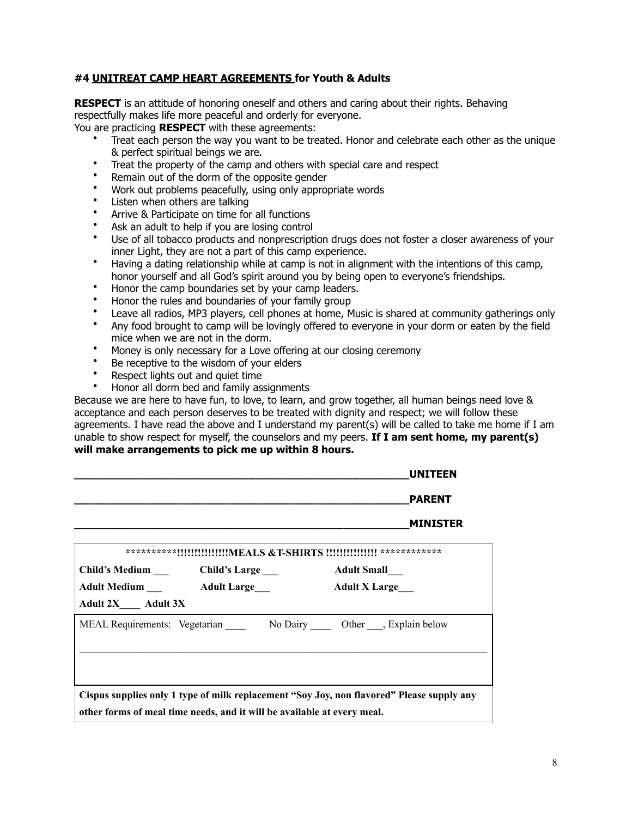# **#4 UNITREAT CAMP HEART AGREEMENTS for Youth & Adults**

**RESPECT** is an attitude of honoring oneself and others and caring about their rights. Behaving respectfully makes life more peaceful and orderly for everyone.

You are practicing **RESPECT** with these agreements:

- Treat each person the way you want to be treated. Honor and celebrate each other as the unique & perfect spiritual beings we are.
- Treat the property of the camp and others with special care and respect
- Remain out of the dorm of the opposite gender
- Work out problems peacefully, using only appropriate words
- Listen when others are talking
- Arrive & Participate on time for all functions
- Ask an adult to help if you are losing control
- Use of all tobacco products and nonprescription drugs does not foster a closer awareness of your inner Light, they are not a part of this camp experience.
- Having a dating relationship while at camp is not in alignment with the intentions of this camp, honor yourself and all God's spirit around you by being open to everyone's friendships.
- Honor the camp boundaries set by your camp leaders.
- Honor the rules and boundaries of your family group
- Leave all radios, MP3 players, cell phones at home, Music is shared at community gatherings only<br>• Any food brought to camp will be lovingly offered to evenyone in your dorm or eaten by the field
- Any food brought to camp will be lovingly offered to everyone in your dorm or eaten by the field mice when we are not in the dorm.
- Money is only necessary for a Love offering at our closing ceremony
- Be receptive to the wisdom of your elders
- Respect lights out and quiet time
- Honor all dorm bed and family assignments

Because we are here to have fun, to love, to learn, and grow together, all human beings need love & acceptance and each person deserves to be treated with dignity and respect; we will follow these agreements. I have read the above and I understand my parent(s) will be called to take me home if I am unable to show respect for myself, the counselors and my peers. **If I am sent home, my parent(s) will make arrangements to pick me up within 8 hours.**

|                          |                                                                         | <b>UNITEEN</b>                                                                            |
|--------------------------|-------------------------------------------------------------------------|-------------------------------------------------------------------------------------------|
|                          |                                                                         | <b>PARENT</b>                                                                             |
|                          |                                                                         | <b>MINISTER</b>                                                                           |
|                          |                                                                         | **********!!!!!!!!!!!!!!!MEALS &T-SHIRTS !!!!!!!!!!!!!! *************                     |
|                          |                                                                         | <b>Adult Small</b>                                                                        |
|                          | <b>Adult Medium Adult Large</b>                                         | <b>Adult X Large</b>                                                                      |
| <b>Adult 2X</b> Adult 3X |                                                                         |                                                                                           |
|                          |                                                                         | MEAL Requirements: Vegetarian No Dairy Other , Explain below                              |
|                          |                                                                         |                                                                                           |
|                          |                                                                         |                                                                                           |
|                          |                                                                         | Cispus supplies only 1 type of milk replacement "Soy Joy, non flavored" Please supply any |
|                          | other forms of meal time needs, and it will be available at every meal. |                                                                                           |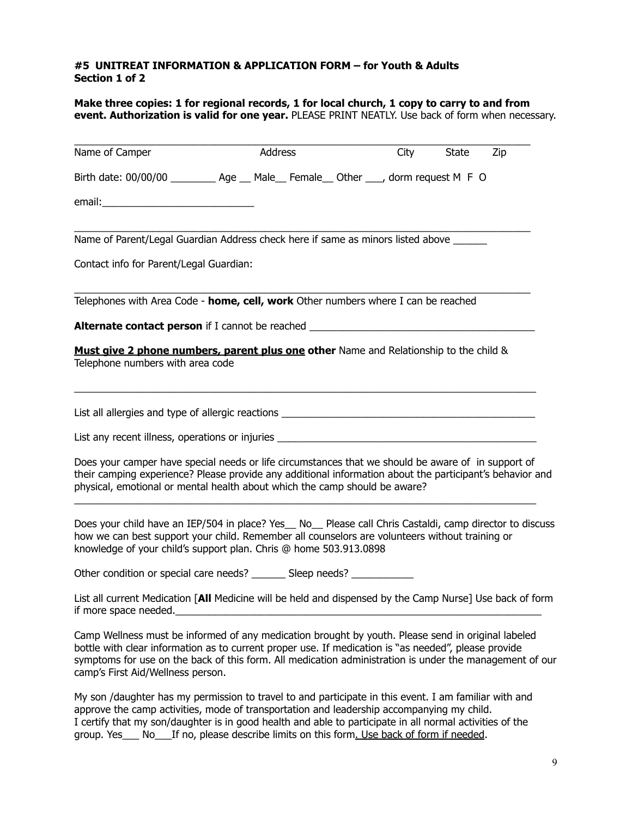# **#5 UNITREAT INFORMATION & APPLICATION FORM – for Youth & Adults Section 1 of 2**

**Make three copies: 1 for regional records, 1 for local church, 1 copy to carry to and from event. Authorization is valid for one year.** PLEASE PRINT NEATLY. Use back of form when necessary.

| Name of Camper                                                                                                                                                                                                                                                                                                                                             | <b>Address</b> |  | City | <b>State</b> | Zip |
|------------------------------------------------------------------------------------------------------------------------------------------------------------------------------------------------------------------------------------------------------------------------------------------------------------------------------------------------------------|----------------|--|------|--------------|-----|
| Birth date: 00/00/00 ___________ Age ___ Male___ Female___ Other ____, dorm request M F O                                                                                                                                                                                                                                                                  |                |  |      |              |     |
| email:                                                                                                                                                                                                                                                                                                                                                     |                |  |      |              |     |
| Name of Parent/Legal Guardian Address check here if same as minors listed above ______                                                                                                                                                                                                                                                                     |                |  |      |              |     |
| Contact info for Parent/Legal Guardian:                                                                                                                                                                                                                                                                                                                    |                |  |      |              |     |
| Telephones with Area Code - home, cell, work Other numbers where I can be reached                                                                                                                                                                                                                                                                          |                |  |      |              |     |
|                                                                                                                                                                                                                                                                                                                                                            |                |  |      |              |     |
| Must give 2 phone numbers, parent plus one other Name and Relationship to the child &<br>Telephone numbers with area code                                                                                                                                                                                                                                  |                |  |      |              |     |
| List all allergies and type of allergic reactions ______________________________                                                                                                                                                                                                                                                                           |                |  |      |              |     |
| List any recent illness, operations or injuries ________________________________                                                                                                                                                                                                                                                                           |                |  |      |              |     |
| Does your camper have special needs or life circumstances that we should be aware of in support of<br>their camping experience? Please provide any additional information about the participant's behavior and<br>physical, emotional or mental health about which the camp should be aware?                                                               |                |  |      |              |     |
| Does your child have an IEP/504 in place? Yes_ No_ Please call Chris Castaldi, camp director to discuss<br>how we can best support your child. Remember all counselors are volunteers without training or<br>knowledge of your child's support plan. Chris @ home 503.913.0898                                                                             |                |  |      |              |     |
| Other condition or special care needs? ________ Sleep needs?                                                                                                                                                                                                                                                                                               |                |  |      |              |     |
| List all current Medication [All Medicine will be held and dispensed by the Camp Nurse] Use back of form<br>if more space needed.                                                                                                                                                                                                                          |                |  |      |              |     |
| Camp Wellness must be informed of any medication brought by youth. Please send in original labeled<br>bottle with clear information as to current proper use. If medication is "as needed", please provide<br>symptoms for use on the back of this form. All medication administration is under the management of our<br>camp's First Aid/Wellness person. |                |  |      |              |     |
| My son /daughter has my permission to travel to and participate in this event. I am familiar with and                                                                                                                                                                                                                                                      |                |  |      |              |     |

approve the camp activities, mode of transportation and leadership accompanying my child. I certify that my son/daughter is in good health and able to participate in all normal activities of the group. Yes\_\_\_ No\_\_\_If no, please describe limits on this form. Use back of form if needed.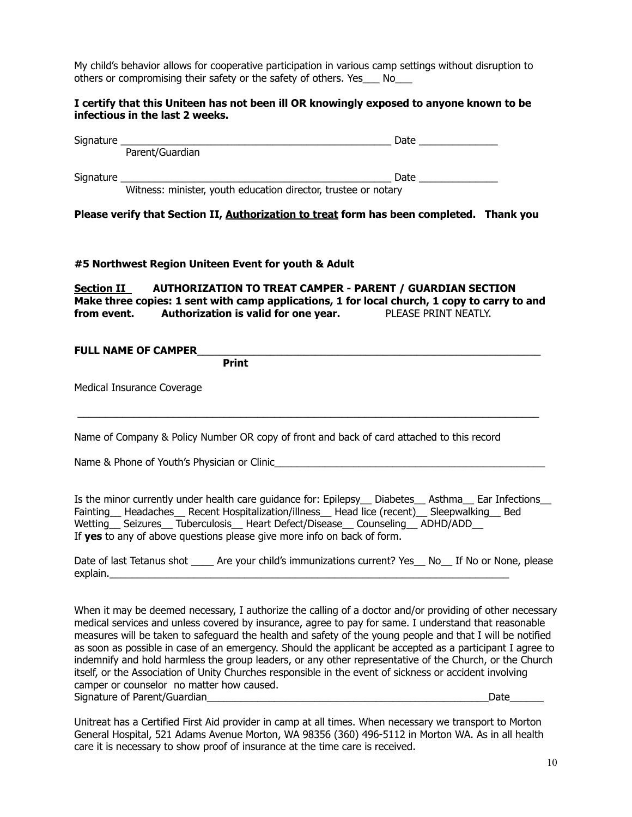My child's behavior allows for cooperative participation in various camp settings without disruption to others or compromising their safety or the safety of others. Yes\_\_\_ No\_\_\_

#### **I certify that this Uniteen has not been ill OR knowingly exposed to anyone known to be infectious in the last 2 weeks.**

| Please verify that Section II, Authorization to treat form has been completed. Thank you                                                                                                                                                                                                                                                                                                                                                                                                                                                                                                                                                                          |  |
|-------------------------------------------------------------------------------------------------------------------------------------------------------------------------------------------------------------------------------------------------------------------------------------------------------------------------------------------------------------------------------------------------------------------------------------------------------------------------------------------------------------------------------------------------------------------------------------------------------------------------------------------------------------------|--|
| #5 Northwest Region Uniteen Event for youth & Adult                                                                                                                                                                                                                                                                                                                                                                                                                                                                                                                                                                                                               |  |
| Section II_____ AUTHORIZATION TO TREAT CAMPER - PARENT / GUARDIAN SECTION<br>Make three copies: 1 sent with camp applications, 1 for local church, 1 copy to carry to and<br>from event. Authorization is valid for one year. PLEASE PRINT NEATLY.                                                                                                                                                                                                                                                                                                                                                                                                                |  |
| Print                                                                                                                                                                                                                                                                                                                                                                                                                                                                                                                                                                                                                                                             |  |
| Medical Insurance Coverage                                                                                                                                                                                                                                                                                                                                                                                                                                                                                                                                                                                                                                        |  |
| Name of Company & Policy Number OR copy of front and back of card attached to this record                                                                                                                                                                                                                                                                                                                                                                                                                                                                                                                                                                         |  |
|                                                                                                                                                                                                                                                                                                                                                                                                                                                                                                                                                                                                                                                                   |  |
| Is the minor currently under health care guidance for: Epilepsy_ Diabetes_ Asthma_ Ear Infections_<br>Fainting_ Headaches_ Recent Hospitalization/illness_ Head lice (recent)_ Sleepwalking_ Bed<br>Wetting Seizures Tuberculosis Heart Defect/Disease Counseling ADHD/ADD<br>If yes to any of above questions please give more info on back of form.                                                                                                                                                                                                                                                                                                             |  |
| Date of last Tetanus shot ______ Are your child's immunizations current? Yes___ No___ If No or None, please                                                                                                                                                                                                                                                                                                                                                                                                                                                                                                                                                       |  |
| When it may be deemed necessary, I authorize the calling of a doctor and/or providing of other necessary<br>medical services and unless covered by insurance, agree to pay for same. I understand that reasonable<br>measures will be taken to safeguard the health and safety of the young people and that I will be notified<br>as soon as possible in case of an emergency. Should the applicant be accepted as a participant I agree to<br>indemnify and hold harmless the group leaders, or any other representative of the Church, or the Church<br>itself, or the Association of Unity Churches responsible in the event of sickness or accident involving |  |

Unitreat has a Certified First Aid provider in camp at all times. When necessary we transport to Morton General Hospital, 521 Adams Avenue Morton, WA 98356 (360) 496-5112 in Morton WA. As in all health care it is necessary to show proof of insurance at the time care is received.

Signature of Parent/Guardian\_\_\_\_\_\_\_\_\_\_\_\_\_\_\_\_\_\_\_\_\_\_\_\_\_\_\_\_\_\_\_\_\_\_\_\_\_\_\_\_\_\_\_\_\_\_\_\_\_\_Date\_\_\_\_\_\_

camper or counselor no matter how caused.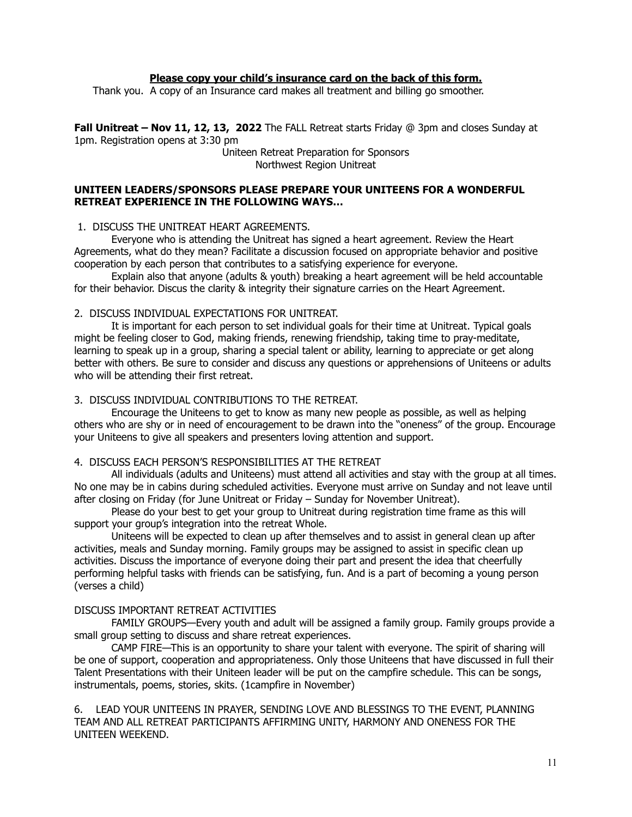#### **Please copy your child's insurance card on the back of this form.**

Thank you. A copy of an Insurance card makes all treatment and billing go smoother.

**Fall Unitreat – Nov 11, 12, 13, 2022** The FALL Retreat starts Friday @ 3pm and closes Sunday at 1pm. Registration opens at 3:30 pm

> Uniteen Retreat Preparation for Sponsors Northwest Region Unitreat

#### **UNITEEN LEADERS/SPONSORS PLEASE PREPARE YOUR UNITEENS FOR A WONDERFUL RETREAT EXPERIENCE IN THE FOLLOWING WAYS…**

1. DISCUSS THE UNITREAT HEART AGREEMENTS.

Everyone who is attending the Unitreat has signed a heart agreement. Review the Heart Agreements, what do they mean? Facilitate a discussion focused on appropriate behavior and positive cooperation by each person that contributes to a satisfying experience for everyone.

Explain also that anyone (adults & youth) breaking a heart agreement will be held accountable for their behavior. Discus the clarity & integrity their signature carries on the Heart Agreement.

#### 2. DISCUSS INDIVIDUAL EXPECTATIONS FOR UNITREAT.

It is important for each person to set individual goals for their time at Unitreat. Typical goals might be feeling closer to God, making friends, renewing friendship, taking time to pray-meditate, learning to speak up in a group, sharing a special talent or ability, learning to appreciate or get along better with others. Be sure to consider and discuss any questions or apprehensions of Uniteens or adults who will be attending their first retreat.

#### 3. DISCUSS INDIVIDUAL CONTRIBUTIONS TO THE RETREAT.

Encourage the Uniteens to get to know as many new people as possible, as well as helping others who are shy or in need of encouragement to be drawn into the "oneness" of the group. Encourage your Uniteens to give all speakers and presenters loving attention and support.

#### 4. DISCUSS EACH PERSON'S RESPONSIBILITIES AT THE RETREAT

All individuals (adults and Uniteens) must attend all activities and stay with the group at all times. No one may be in cabins during scheduled activities. Everyone must arrive on Sunday and not leave until after closing on Friday (for June Unitreat or Friday – Sunday for November Unitreat).

Please do your best to get your group to Unitreat during registration time frame as this will support your group's integration into the retreat Whole.

Uniteens will be expected to clean up after themselves and to assist in general clean up after activities, meals and Sunday morning. Family groups may be assigned to assist in specific clean up activities. Discuss the importance of everyone doing their part and present the idea that cheerfully performing helpful tasks with friends can be satisfying, fun. And is a part of becoming a young person (verses a child)

#### DISCUSS IMPORTANT RETREAT ACTIVITIES

FAMILY GROUPS—Every youth and adult will be assigned a family group. Family groups provide a small group setting to discuss and share retreat experiences.

CAMP FIRE—This is an opportunity to share your talent with everyone. The spirit of sharing will be one of support, cooperation and appropriateness. Only those Uniteens that have discussed in full their Talent Presentations with their Uniteen leader will be put on the campfire schedule. This can be songs, instrumentals, poems, stories, skits. (1campfire in November)

6. LEAD YOUR UNITEENS IN PRAYER, SENDING LOVE AND BLESSINGS TO THE EVENT, PLANNING TEAM AND ALL RETREAT PARTICIPANTS AFFIRMING UNITY, HARMONY AND ONENESS FOR THE UNITEEN WEEKEND.